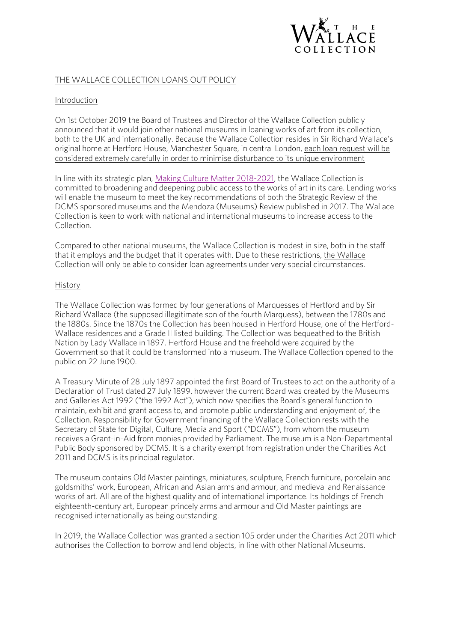

#### THE WALLACE COLLECTION LOANS OUT POLICY

### i,

announced that it would join other national museums in loaning works of art from its collection. both to the UK and internationally. Because the Wallace Collection resides in Sir Richard Wallace's İ, Introduction<br>On 1st October 2019 the Board of Trustees and Director of the Wallace Collection publicly both to the UK and internationally. Because the Wallace Collection resides in Sir Richard Wallace's considered extremely carefully in order to minimise disturbance to its unique environment

will enable the museum to meet the key recommendations of both the strategic refiture of the Strategic Review<br>DCMS sponsored museums and the Mendoza (Museums) Review published in 2017. The Wa In line with its strategic plan, *Making Culture Matter 2018-2021*, the Wallace Collection is committed to broadening and deepening public access to the works of art in its care. Lending works will enable the museum to meet the key recommendations of both the Strategic Review of the Collection is keen to work with national and international museums to increase access to the Collection is keen to work with national and international museums to increase access to the Collection.

Compared to other national museums, the Wallace Collection is modest in size, communication is taken in the sta<br>that it employs and the budget that it operates with Due to these restrictions the Wallace that it employs and the energet that it operates minime to the meet restrictions, <u>the Wallace t</u><br>Collection will only be able to consider loan agreements under very special circumstances I Collection will only be able to consider loan agreements under very special circumstances.

#### History History

wallace residences and a Grade II listed building. The Collection was bequeathed to the British Wallace Presences and a Grade II listed building. The Collection was bequeathed to the British<br>Nation by Lady Wallace in 1897. Hertford House and the freehold were acquired by the Government so that it could be transformed into a museum. The Wallace Collection opened to the Wallace Collection opened to the Wallace Collection opened to the Wallace Collection opened to the Wallace Collection opened to The Wallace Collection was formed by four generations of Marquesses of Hertford and by Sir<br>Richard Wallace (the supposed illegitimate son of the fourth Marquess), between the 1780s and the 1880s. Since the 1870s the Collection has been housed in Hertford House, one of the Hertford-Government so that it could be transformed into a museum. The Wallace Collection opened to the

Declaration of the trust dated 27 July 1899, however the canceled and current Board by the Museums<br>and Galleries Act 1992 ("the 1992 Act"), which now specifies the Board's general function to and Galleries Act 1992 ("the 1992 Act"), inheritor specifies the Board's general function to<br>maintain exhibit and grant access to and promote public understanding and enjoyment of t Collection. Collection. The Collection of the Collection of Collection. Secretary of State for Digital Culture Media and Sport ("DCMS") from whom the museum Public Body sponsored by DCMS. It is a charity exempt from registration under the Charities Act A Treasury Minute of 28 July 1897 appointed the first Board of Trustees to act on the authority of a<br>Declaration of Trust dated 27 July 1899, however the current Board was created by the Museums Collection. Responsibility for Government financing of the Wallace Collection rests with the receives a Grant-in-Aid from monies provided by Parliament. The museum is a Non-Departmental Public Body sponsored by DCMS. It is a charity exempt from registration under the Charities Act

goldsmiths' work, European, African and Asian arms and armour, and medieval and Renaissance works of art. All are of the highest quality are of the highest quality and of international international in<br>All are of the highest quality are the highest product in the french in the french in the holding of the holdi The museum contains Old Master paintings, miniatures, sculpture, French furniture, porcelain and works of art. All are of the highest quality and of international importance. Its holdings of French recognised internationally as being outstanding. recognised internationally as being outstanding.

In 2019, the Wallace Collection may granted a coolern woo creat allege the Charlies Act 2011 which<br>authorises the Collection to borrow and lend objects in line with other National Museums authorises the Collection to borrow and lend objects, in line with objects, in line with other National Museums.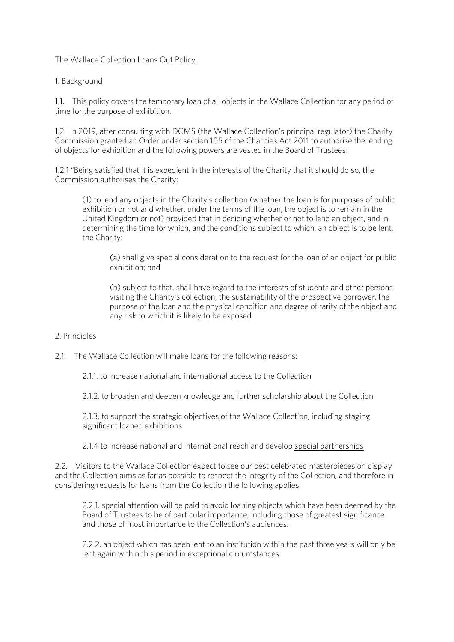## The Wallace Collection Loans Out Police Collection Loans Out Police Police Collection Loans Out Police Collection Loans Out Police Collection Loans Out Police Collection Loans Out Police Collection Loans Out District Colle

# $1.5$  Background

 $1.11$  This police computed the temporary loan of a state  $\frac{1}{2}$  of  $\frac{1}{2}$  and  $\frac{1}{2}$  and  $\frac{1}{2}$  and  $\frac{1}{2}$  and  $\frac{1}{2}$  and  $\frac{1}{2}$  and  $\frac{1}{2}$  and  $\frac{1}{2}$  and  $\frac{1}{2}$  and  $\frac{1}{2}$  and  $\frac{1}{2}$  time for the purpose of exhibition.

I.2 In 2017, after consulting man Dome (the Mallace Consulting principal regulator) the Charity<br>Commission granted an Order under section 105 of the Charities Act 2011 to authorise the lending Commission granted and the following powers are vested in the Board of Trustees. of objects for exhibition and the following powers are vested in the Board of Trustees:

1.2.1 "Being satisfied that it is expedient in the interests of the Charity that it should do so, the Commission authorises the Charity: Commission authorises the Charity:

 $\overline{\phantom{a}}$ (1) to lend any objects in the Charity's collection (whether the loan is for purposes of public United Kingdom or not) provided that in deciding whether or not to lend an object, and in  $U$  determining the time for which and the conditions subject to which an object is to be lengther determining the time for which and the conditions subject to which an object is to be lengther  $\frac{d}{dt}$ the Charity:

(a) shall give special consideration to the request for the loan of an object for public

(b) subject to that, shall have regard to the interests of students and other persons visiting the Charity's collection, the sustainability of the prospective borrower, the purpose of the Ioan and the physical condition and degree of rarity of the object and purpose of the loan and the physical condition and degree of rarity of the object and degree of  $\sim$ any risk to which it is likely to be exposed.

#### 2. Principles

2.1. The Wallace Collection will make loans for the following reasons:

2.1.1, to increase national and international access to the Collection 2.1.1. to increase national and international access to the Collection

2.1.2. to broaden and deepen knowledge and further scholarship about the Collection

2.1.3. to support the strategic objectives of the Wallace Collection, including staging significant loaned exhibitions significant loaned exhibitions

2.1.4 to increase national and international reach and develop special partnerships

and the Collection aims as far as possible to respect the integrity of the Collection, and therefore in  $\alpha$  considering requests for loans from the Collection the following annies: 2.2. Visitors to the Wallace Collection expect to see our best celebrated masterpieces on display considering requests for loans from the following applies:

2.2.1. special attention will be paid to avoid loaning objects which have been deemed by the Board of Trustees to be of particular importance, including those of greatest significance and those of most importance to the Collection's audiences. and those of most importance to the Collection's audiences.

 $\frac{1}{2}$  and  $\frac{1}{2}$ . The past to an institution within this period in exceptional circumstances lent again within this period in exceptional circumstances.